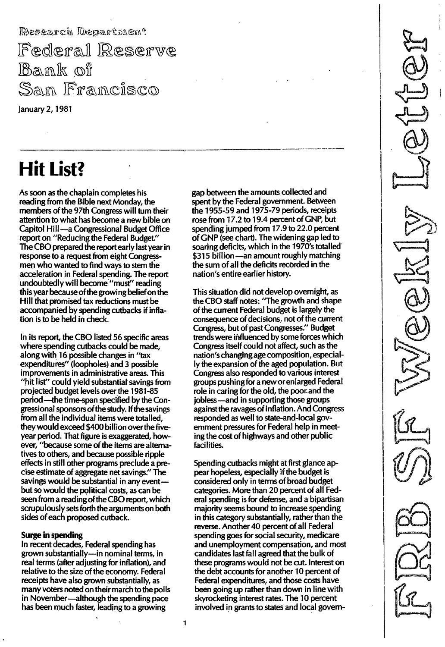Federal Reserve Bank of San Francisco

January 2, 1981

# Hit List?

As soon as the chaplain completes his reading from the Bible next Monday, the members of the 97th Congress will turn their attention to what has become a new bible on Capitol Hill-a Congressional Budget Office report on "Reducing the Federal Budget." The CBO prepared the report early last year in response to a request from eight Congressmen who wanted to find ways to stem the acceleration in Federal spending. The report undoubtedly will become'''must'' reading this year because of the growing belief on the Hill that promised tax reductions must be accompanied by spending cutbacks if inflation is to be held in check.

In its report, the CBO listed 56 specific areas where spending cutbacks could be made, along with 16 possible changes in "tax expenditures" (loopholes) and 3 possible improvements in administrative areas. This "hit list" could yield substantial savings from projected budget levels over the 1 981 -85 period—the time-span specified by the Congressional sponsors of the study. If the savings from all the individual items were totalled, they would exceed \$400 billion over the fiveyear period. That figure is exaggerated, however, "because some of the items are alternatives to others, and because possible ripple effects in still other programs preclude a precise estimate of aggregate net savings." The savings would be substantial in any eventbut so would the political costs, as can be seen from a reading of the CBO report, which scrupulously sets forth the arguments on both sides of each proposed cutback.

### Surge in spending

In recent decades, Federal spending has grown substantially-in nominal terms, in real terms (after adjusting for inflation), and relative to the size of the economy. Federal receipts have also grown substantially, as many voters noted on their march to the polls in November-although the spending pace has been much faster, leading to a growing

gap between the amounts collected and spent by the Federal government. Between the 1955-59 and 1975-79 periods, receipts rose from 17.2 to 19.4 percent of GNP, but spending jumped from 17.9 to 22.0 percent of GNP (see chart). The widening gap led to soaring deficits, which in the 1970's totalled \$315 billion -an amount roughly matching the sum of all the deficits recorded in the nation's entire earlier history.

This situation did not develop overnight, as the CBO staff notes: ''The growth and shape of the current Federal budget is largely the consequence of decisions, not of the current Congress, but of past Congresses." Budget trends were influenced by some forces which Congress itself could not affect, such as the nation's changing age composition, especially the expansion of the aged population. But Congress also responded to various interest groups pushing for a new or enlarged Federal role in caring for the old, the poor. and the jobless-and in supporting those groups against the ravages of inflation. And Congress responded as well to state-and-Iocal government pressures for Federal help in meeting the cost of highways and other public facilities.

Spending cutbacks might at first glance appear hopeless, especially if the budget is considered only in terms of broad budget categories. More than 20 percent of all Federal spending is for defense, and a bipartisan majority seems bound to increase spending in this category substantially, rather than the reverse. Another 40 percent of all Federal spending goes for social security, medicare and unemployment compensation, and most candidates last fall agreed that the bulk of these programs would not be cut. Interest on the debt accounts for another 10 percent of Federal expenditures, and those costs have been going up rather than down in line with skyrocketing interest rates. The 10 percent involved in grants to states and local govern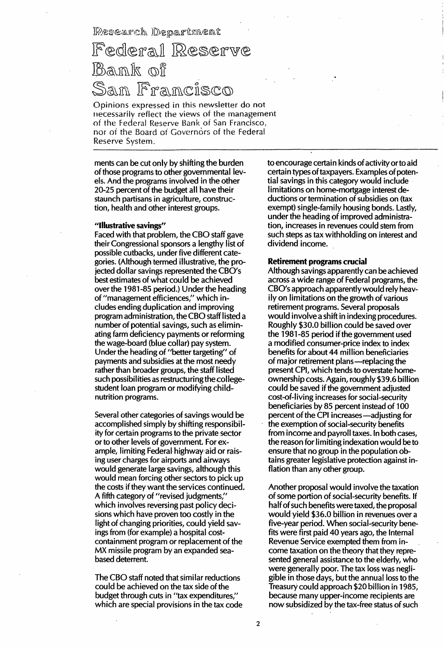Research Department

## Federal Reserve Bamk of ísco

Opinions expressed in this newsletter do not necessarily reflect the views of the management of the Federal Reserve Bank of San Francisco. nor of the Board of Governors of the Federal Reserve System,

ments can be cut only by shifting the burden of those programs to other governmental levels. And the programs involved in the other 20-25 percent of the budget all have their staunch partisans in agriculture, construction, health and other interest groups.

#### "Illustrative savings"

Faced with that problem, the CBO staff gave their Congressional sponsors a lengthy list of possible cutbacks, under five different categories. (Although termed illustrative, the projected dollar savings represented the CBO's best estimates of what could be achieved over the 1981-85 period.) Under the heading of "management efficiences," which includes ending duplication and improving program administration, the CBO staff listed a number of potential savings, such as eliminating farm deficiency payments or reforming the wage-board (blue collar) pay system. Under the heading of "better targeting" of payments and subsidies at the most needy rather than broader groups, the staff listed such possibilities as restructuring the collegestudent loan program or modifying childnutrition programs.

Several other categories of savings would be accomplished simply by shifting responsibility for certain programs to the private sector or to other levels of government. For example, limiting Federal highway aid or raising user charges for airports and airways would generate large savings, although this would mean forcing other sectors to pick up the costs if they want the services continued. A fifth category of "revised judgments," which involves reversing past policy decisions which have proven too costly in the light of changing priorities, could yield savings from (for example) a hospital costcontainment program or replacement of the MX missile program by an expanded seabased deterrent.

The CBO staff noted that similar reductions could be achieved on the tax side of the budget through cuts in "tax expenditures," which are special provisions in the tax code to encourage certain kinds of activity orto aid certain types of taxpayers. Examples of potential savings in this category would include limitations on home-mortgage interest deductions or termination of subsidies on (tax exempt) single-family housing bonds. Lastly, under the heading of improved administration, increases in revenues could stem from such steps as tax withholding on interest and dividend income.

#### Retirement programs crucial

Although savings apparently can be achieved across a wide range of Federal programs, the CBO's approach apparently would rely heavily on limitations on the growth of various retirement programs. Several proposals would involve a shift in indexing procedures. Roughly \$30.0 billion could be saved over the 1981-85 period if the government used a modified consumer-price index to index benefits for about 44 million beneficiaries of major retirement plans-replacing the present CPI, which tends to overstate homeownership costs. Again, roughly \$39.6billion could be saved if the government adjusted cost-of-living increases for social-security beneficiaries by 85 percent instead of 100 percent of the CPI increases -adjusting for the exemption of social-security benefits from income and payroll taxes. In both cases, the reason for limiting indexation would be to ensure that no group in the population obtains greater legislative protection against inflation than any other group.

Another proposal would involve the taxation of some portion of social-security benefits. If half of such benefits were taxed, the proposal would yield \$36.0 billion in revenues over a five-year period. When social-security benefits were first paid 40 years ago, the Internal Revenue Service exempted them from income taxation on the theory that they represented general assistance to the elderly; who were generally poor. The tax loss was negligible in those days, but the annual loss to the Treasury could approach \$20 billion in 1985, because many upper-income recipients are now subsidized by the tax-free status of such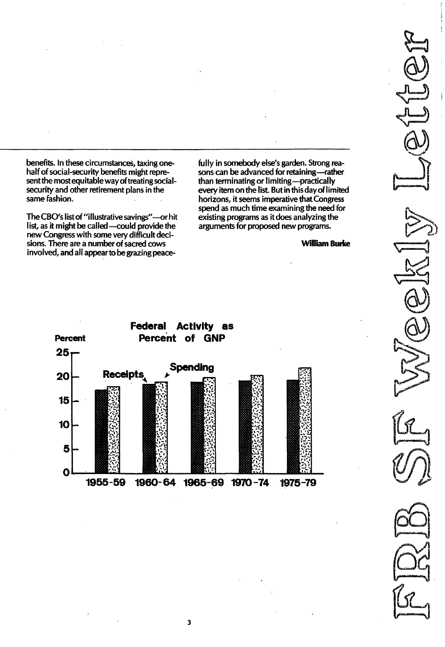benefits. In these circumstances, taxing onehalf of social-security benefits might represent the most equitable way of treating socialsecurity and other retirement plans in the same fashion.

The CBO's list of "illustrative savings"-or hit list, as it might be called-could provide the new Congress with some very difficult decisions. There are a number of sacred cows involved, and all appear to be grazing peacefully in somebody else's garden. Strong reasons can be advanced for retaining-rather than terminating or limiting—practica every item on the list. But in this day of limite horizons, it seems imperative that Congress spend as much time examining the need for existing programs as it does analyzing the arguments for proposed new programs.

William Burke